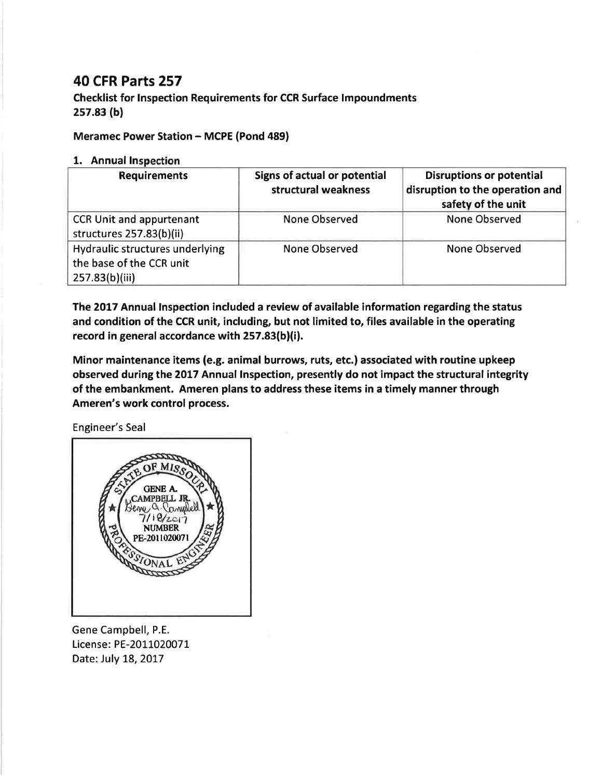## 40 CFR Parts 257

Checklist for lnspection Requirements for CCR Surface lmpoundments 2s7.83 (bl

## Meramec Power Station - MCPE (Pond 489)

## 1. Annual ln

| <b>Requirements</b>                                                           | Signs of actual or potential<br>structural weakness | <b>Disruptions or potential</b><br>disruption to the operation and<br>safety of the unit |
|-------------------------------------------------------------------------------|-----------------------------------------------------|------------------------------------------------------------------------------------------|
| <b>CCR Unit and appurtenant</b><br>structures 257.83(b)(ii)                   | <b>None Observed</b>                                | <b>None Observed</b>                                                                     |
| Hydraulic structures underlying<br>the base of the CCR unit<br>257.83(b)(iii) | <b>None Observed</b>                                | None Observed                                                                            |

The 2017 Annual Inspection included a review of available information regarding the status and condition of the CCR unit, including, but not limited to, files available in the operating record in general accordance with 257.83(b)(i).

Minor maintenance items (e.g. animal burrows, ruts, etc.) associated with routine upkeep observed during the 2017 Annual Inspection, presently do not impact the structural integrity of the embankment. Ameren plans to address these items in a timely manner through Ameren's work control process.

Engineer's Seal



Gene Campbell, P.E. License: PE-2011020071 Date: July 18, 2017